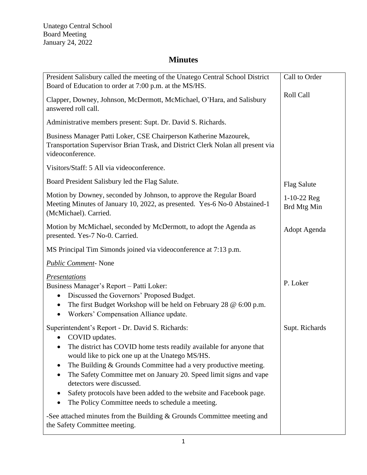# **Minutes**

| President Salisbury called the meeting of the Unatego Central School District<br>Board of Education to order at 7:00 p.m. at the MS/HS.                                                                                                                                                                                                                                                                                                                                                                                                                                    | Call to Order                |
|----------------------------------------------------------------------------------------------------------------------------------------------------------------------------------------------------------------------------------------------------------------------------------------------------------------------------------------------------------------------------------------------------------------------------------------------------------------------------------------------------------------------------------------------------------------------------|------------------------------|
| Clapper, Downey, Johnson, McDermott, McMichael, O'Hara, and Salisbury<br>answered roll call.                                                                                                                                                                                                                                                                                                                                                                                                                                                                               | <b>Roll Call</b>             |
| Administrative members present: Supt. Dr. David S. Richards.                                                                                                                                                                                                                                                                                                                                                                                                                                                                                                               |                              |
| Business Manager Patti Loker, CSE Chairperson Katherine Mazourek,<br>Transportation Supervisor Brian Trask, and District Clerk Nolan all present via<br>videoconference.                                                                                                                                                                                                                                                                                                                                                                                                   |                              |
| Visitors/Staff: 5 All via videoconference.                                                                                                                                                                                                                                                                                                                                                                                                                                                                                                                                 |                              |
| Board President Salisbury led the Flag Salute.                                                                                                                                                                                                                                                                                                                                                                                                                                                                                                                             | <b>Flag Salute</b>           |
| Motion by Downey, seconded by Johnson, to approve the Regular Board<br>Meeting Minutes of January 10, 2022, as presented. Yes-6 No-0 Abstained-1<br>(McMichael). Carried.                                                                                                                                                                                                                                                                                                                                                                                                  | $1-10-22$ Reg<br>Brd Mtg Min |
| Motion by McMichael, seconded by McDermott, to adopt the Agenda as<br>presented. Yes-7 No-0. Carried.                                                                                                                                                                                                                                                                                                                                                                                                                                                                      | Adopt Agenda                 |
| MS Principal Tim Simonds joined via videoconference at 7:13 p.m.                                                                                                                                                                                                                                                                                                                                                                                                                                                                                                           |                              |
| <b>Public Comment-None</b>                                                                                                                                                                                                                                                                                                                                                                                                                                                                                                                                                 |                              |
| <i><u><b>Presentations</b></u></i><br>Business Manager's Report - Patti Loker:<br>Discussed the Governors' Proposed Budget.<br>$\bullet$<br>The first Budget Workshop will be held on February 28 @ 6:00 p.m.<br>Workers' Compensation Alliance update.<br>$\bullet$                                                                                                                                                                                                                                                                                                       | P. Loker                     |
| Superintendent's Report - Dr. David S. Richards:<br>COVID updates.<br>The district has COVID home tests readily available for anyone that<br>would like to pick one up at the Unatego MS/HS.<br>The Building & Grounds Committee had a very productive meeting.<br>The Safety Committee met on January 20. Speed limit signs and vape<br>detectors were discussed.<br>Safety protocols have been added to the website and Facebook page.<br>The Policy Committee needs to schedule a meeting.<br>-See attached minutes from the Building $&$ Grounds Committee meeting and | Supt. Richards               |
| the Safety Committee meeting.                                                                                                                                                                                                                                                                                                                                                                                                                                                                                                                                              |                              |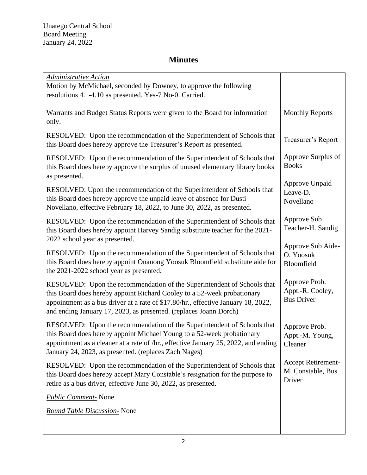# **Minutes**

| <b>Administrative Action</b><br>Motion by McMichael, seconded by Downey, to approve the following<br>resolutions 4.1-4.10 as presented. Yes-7 No-0. Carried.                                                                                                                                                 |                                                          |
|--------------------------------------------------------------------------------------------------------------------------------------------------------------------------------------------------------------------------------------------------------------------------------------------------------------|----------------------------------------------------------|
| Warrants and Budget Status Reports were given to the Board for information<br>only.                                                                                                                                                                                                                          | <b>Monthly Reports</b>                                   |
| RESOLVED: Upon the recommendation of the Superintendent of Schools that<br>this Board does hereby approve the Treasurer's Report as presented.                                                                                                                                                               | Treasurer's Report                                       |
| RESOLVED: Upon the recommendation of the Superintendent of Schools that<br>this Board does hereby approve the surplus of unused elementary library books<br>as presented.                                                                                                                                    | Approve Surplus of<br><b>Books</b>                       |
| RESOLVED: Upon the recommendation of the Superintendent of Schools that<br>this Board does hereby approve the unpaid leave of absence for Dusti<br>Novellano, effective February 18, 2022, to June 30, 2022, as presented.                                                                                   | Approve Unpaid<br>Leave-D.<br>Novellano                  |
| RESOLVED: Upon the recommendation of the Superintendent of Schools that<br>this Board does hereby appoint Harvey Sandig substitute teacher for the 2021-<br>2022 school year as presented.                                                                                                                   | Approve Sub<br>Teacher-H. Sandig                         |
| RESOLVED: Upon the recommendation of the Superintendent of Schools that<br>this Board does hereby appoint Onanong Yoosuk Bloomfield substitute aide for<br>the 2021-2022 school year as presented.                                                                                                           | Approve Sub Aide-<br>O. Yoosuk<br>Bloomfield             |
| RESOLVED: Upon the recommendation of the Superintendent of Schools that<br>this Board does hereby appoint Richard Cooley to a 52-week probationary<br>appointment as a bus driver at a rate of \$17.80/hr., effective January 18, 2022,<br>and ending January 17, 2023, as presented. (replaces Joann Dorch) | Approve Prob.<br>Appt.-R. Cooley,<br><b>Bus Driver</b>   |
| RESOLVED: Upon the recommendation of the Superintendent of Schools that<br>this Board does hereby appoint Michael Young to a 52-week probationary<br>appointment as a cleaner at a rate of /hr., effective January 25, 2022, and ending<br>January 24, 2023, as presented. (replaces Zach Nages)             | Approve Prob.<br>Appt.-M. Young,<br>Cleaner              |
| RESOLVED: Upon the recommendation of the Superintendent of Schools that<br>this Board does hereby accept Mary Constable's resignation for the purpose to<br>retire as a bus driver, effective June 30, 2022, as presented.                                                                                   | <b>Accept Retirement-</b><br>M. Constable, Bus<br>Driver |
| <b>Public Comment-</b> None                                                                                                                                                                                                                                                                                  |                                                          |
| <b>Round Table Discussion- None</b>                                                                                                                                                                                                                                                                          |                                                          |
|                                                                                                                                                                                                                                                                                                              |                                                          |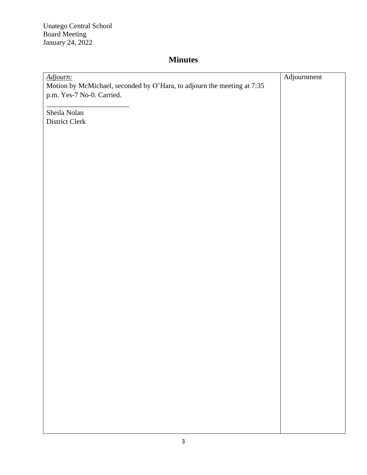Unatego Central School Board Meeting January 24, 2022

# **Minutes**

| Adjourn:                                                                | Adjournment |
|-------------------------------------------------------------------------|-------------|
| Motion by McMichael, seconded by O'Hara, to adjourn the meeting at 7:35 |             |
| p.m. Yes-7 No-0. Carried.                                               |             |
|                                                                         |             |
| Sheila Nolan                                                            |             |
| District Clerk                                                          |             |
|                                                                         |             |
|                                                                         |             |
|                                                                         |             |
|                                                                         |             |
|                                                                         |             |
|                                                                         |             |
|                                                                         |             |
|                                                                         |             |
|                                                                         |             |
|                                                                         |             |
|                                                                         |             |
|                                                                         |             |
|                                                                         |             |
|                                                                         |             |
|                                                                         |             |
|                                                                         |             |
|                                                                         |             |
|                                                                         |             |
|                                                                         |             |
|                                                                         |             |
|                                                                         |             |
|                                                                         |             |
|                                                                         |             |
|                                                                         |             |
|                                                                         |             |
|                                                                         |             |
|                                                                         |             |
|                                                                         |             |
|                                                                         |             |
|                                                                         |             |
|                                                                         |             |
|                                                                         |             |
|                                                                         |             |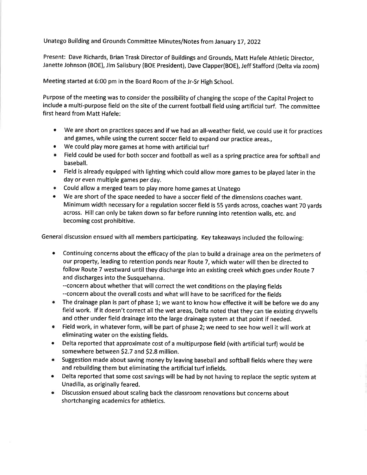Unatego Building and Grounds Committee Minutes/Notes from January 17, 2022

Present: Dave Richards, Brian Trask Director of Buildings and Grounds, Matt Hafele Athletic Director, Janette Johnson (BOE), Jim Salisbury (BOE President), Dave Clapper(BOE), Jeff Stafford (Delta via zoom)

Meeting started at 6:00 pm in the Board Room of the Jr-Sr High School.

Purpose of the meeting was to consider the possibility of changing the scope of the Capital Project to include a multi-purpose field on the site of the current football field using artificial turf. The committee first heard from Matt Hafele:

- We are short on practices spaces and if we had an all-weather field, we could use it for practices and games, while using the current soccer field to expand our practice areas.,
- We could play more games at home with artificial turf
- . Field could be used for both soccer and football as well as a spring practice area for softball and baseball.
- Field is already equipped with lighting which could allow more games to be played later in the day or even multiple games per day.
- . Could allow a merged team to play more home games at Unatego
- We are short of the space needed to have a soccer field of the dimensions coaches want. Minimum width necessary for a regulation soccer field is 55 yards across, coaches want 70 yards across. Hill can only be taken down so far before running into retention walls, etc. and becoming cost prohibitive.

General discussion ensued with all members participating. Key takeaways included the following:

 $\bullet$ Continuing concerns about the efficacy of the plan to build a drainage area on the perimeters of our property, leading to retention ponds near Route 7, which water will then be directed to follow Route 7 westward until they discharge into an existing creek which goes under Route 7 and discharges into the Susquehanna.

--concern about whether that will correct the wet conditions on the playing fields --concern about the overall costs and what will have to be sacrificed for the fields

- The drainage plan is part of phase 1; we want to know how effective it will be before we do any  $\bullet$ field work. If it doesn't correct all the wet areas, Delta noted that they can tie existing drywells and other under field drainage into the large drainage system at that point if needed.
- Field work, in whatever form, will be part of phase 2; we need to see how well it will work at  $\bullet$ eliminating water on the existing fields.
- Delta reported that approximate cost of a multipurpose field (with artificial turf) would be  $\bullet$ somewhere between \$2.7 and \$2.8 million.
- $\bullet$ Suggestion made about saving money by leaving baseball and softball fields where they were and rebuilding them but eliminating the artificial turf infields.
- Delta reported that some cost savings will be had by not having to replace the septic system at  $\bullet$ Unadilla, as originally feared.
- $\bullet$ Discussion ensued about scaling back the classroom renovations but concerns about shortchanging academics for athletics.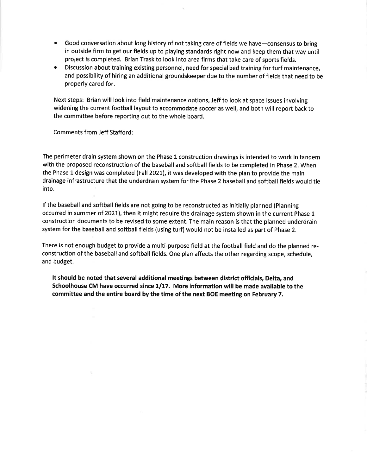- Good conversation about long history of not taking care of fields we have-consensus to bring in outside firm to get our fields up to playing standards right now and keep them that way until project is completed. Brian Trask to look into area firms that take care of sports fields.
- Discussion about training existing personnel, need for specialized training for turf maintenance. and possibility of hiring an additional groundskeeper due to the number of fields that need to be properly cared for.

Next steps: Brian will look into field maintenance options, Jeff to look at space issues involving widening the current football layout to accommodate soccer as well, and both will report back to the committee before reporting out to the whole board.

**Comments from Jeff Stafford:** 

The perimeter drain system shown on the Phase 1 construction drawings is intended to work in tandem with the proposed reconstruction of the baseball and softball fields to be completed in Phase 2. When the Phase 1 design was completed (Fall 2021), it was developed with the plan to provide the main drainage infrastructure that the underdrain system for the Phase 2 baseball and softball fields would tie into.

If the baseball and softball fields are not going to be reconstructed as initially planned (Planning occurred in summer of 2021), then it might require the drainage system shown in the current Phase 1 construction documents to be revised to some extent. The main reason is that the planned underdrain system for the baseball and softball fields (using turf) would not be installed as part of Phase 2.

There is not enough budget to provide a multi-purpose field at the football field and do the planned reconstruction of the baseball and softball fields. One plan affects the other regarding scope, schedule, and budget.

It should be noted that several additional meetings between district officials, Delta, and Schoolhouse CM have occurred since 1/17. More information will be made available to the committee and the entire board by the time of the next BOE meeting on February 7.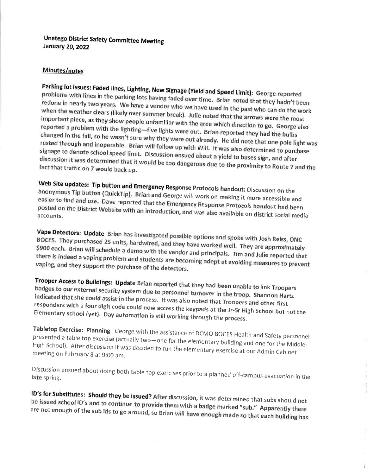### **Unatego District Safety Committee Meeting January 20, 2022**

### Minutes/notes

Parking lot issues: Faded lines, Lighting, New Signage (Yield and Speed Limit): George reported problems with lines in the parking lots having faded over time. Brian noted that they hadn't been redone in nearly two years. We have a vendor who we have used in the past who can do the work when the weather clears (likely over summer break). Julie noted that the arrows were the most important piece, as they show people unfamiliar with the area which direction to go. George also reported a problem with the lighting-five lights were out. Brian reported they had the bulbs changed in the fall, so he wasn't sure why they were out already. He did note that one pole light was rusted through and inoperable. Brian will follow up with Will. It was also determined to purchase signage to denote school speed limit. Discussion ensued about a yield to buses sign, and after discussion it was determined that it would be too dangerous due to the proximity to Route 7 and the fact that traffic on 7 would back up.

Web Site updates: Tip button and Emergency Response Protocols handout: Discussion on the anonymous Tip button (QuickTip). Brian and George will work on making it more accessible and easier to find and use. Dave reported that the Emergency Response Protocols handout had been posted on the District Website with an introduction, and was also available on district social media accounts.

Vape Detectors: Update Brian has investigated possible options and spoke with Josh Reiss, ONC BOCES. They purchased 25 units, hardwired, and they have worked well. They are approximately \$900 each. Brian will schedule a demo with the vendor and principals. Tim and Julie reported that there is indeed a vaping problem and students are becoming adept at avoiding measures to prevent vaping, and they support the purchase of the detectors.

Trooper Access to Buildings: Update Brian reported that they had been unable to link Troopers badges to our external security system due to personnel turnover in the troop. Shannon Hartz indicated that she could assist in the process. It was also noted that Troopers and other first responders with a four digit code could now access the keypads at the Jr-Sr High School but not the Elementary school (yet). Day automation is still working through the process.

Tabletop Exercise: Planning George with the assistance of DCMO BOCES Health and Safety personnel presented a table top exercise (actually two-one for the elementary building and one for the Middle-High School). After discussion it was decided to run the elementary exercise at our Admin Cabinet meeting on February 8 at 9:00 am.

Discussion ensued about doing both table top exercises prior to a planned off-campus evacuation in the late spring.

ID's for Substitutes: Should they be issued? After discussion, it was determined that subs should not be issued school ID's and to continue to provide them with a badge marked "sub." Apparently there are not enough of the sub ids to go around, so Brian will have enough made so that each building has

ţ.